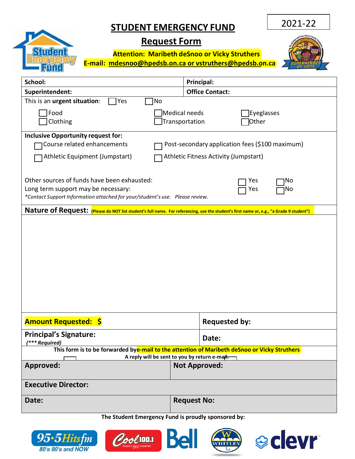## **STUDENT EMERGENCY FUND**

2021-22

## **Request Form**

**Student** 

**Attention: Maribeth deSnoo or Vicky Struthers E-mail: [mdesnoo@hpedsb.on.ca or](mailto:mdesnoo@hpedsb.on.ca%20or%20lnoel@hpedsb.on.ca) vstruthers@hpedsb.on.ca** 



| School:                                                                                                                                                                                      | Principal:                                             |  |  |
|----------------------------------------------------------------------------------------------------------------------------------------------------------------------------------------------|--------------------------------------------------------|--|--|
| Superintendent:                                                                                                                                                                              | <b>Office Contact:</b>                                 |  |  |
| This is an urgent situation:<br>Yes<br>No                                                                                                                                                    |                                                        |  |  |
| Food<br>Clothing                                                                                                                                                                             | Medical needs<br>Eyeglasses<br>Transportation<br>Other |  |  |
| <b>Inclusive Opportunity request for:</b><br>Course related enhancements                                                                                                                     | Post-secondary application fees (\$100 maximum)        |  |  |
| Athletic Equipment (Jumpstart)                                                                                                                                                               | Athletic Fitness Activity (Jumpstart)                  |  |  |
| Other sources of funds have been exhausted:<br>Yes<br>No<br>Long term support may be necessary:<br>Yes<br>No<br>*Contact Support Information attached for your/student's use. Please review. |                                                        |  |  |
| Nature of Request: (Please do NOT list student's full name. For referencing, use the student's first name or, e.g., "a Grade 9 student")                                                     |                                                        |  |  |
|                                                                                                                                                                                              |                                                        |  |  |
| <b>Amount Requested: \$</b>                                                                                                                                                                  | <b>Requested by:</b>                                   |  |  |
| <b>Principal's Signature:</b><br>(*** Required)                                                                                                                                              | Date:                                                  |  |  |
| This form is to be forwarded bye-mail to the attention of Maribeth deSnoo or Vicky Struthers<br>A reply will be sent to you by return e-mail.                                                |                                                        |  |  |
| <b>Approved:</b>                                                                                                                                                                             | <b>Not Approved:</b>                                   |  |  |
| <b>Executive Director:</b>                                                                                                                                                                   |                                                        |  |  |
| Date:                                                                                                                                                                                        | <b>Request No:</b>                                     |  |  |
| The Student Emergency Fund is proudly sponsored by:                                                                                                                                          |                                                        |  |  |







**WAN**